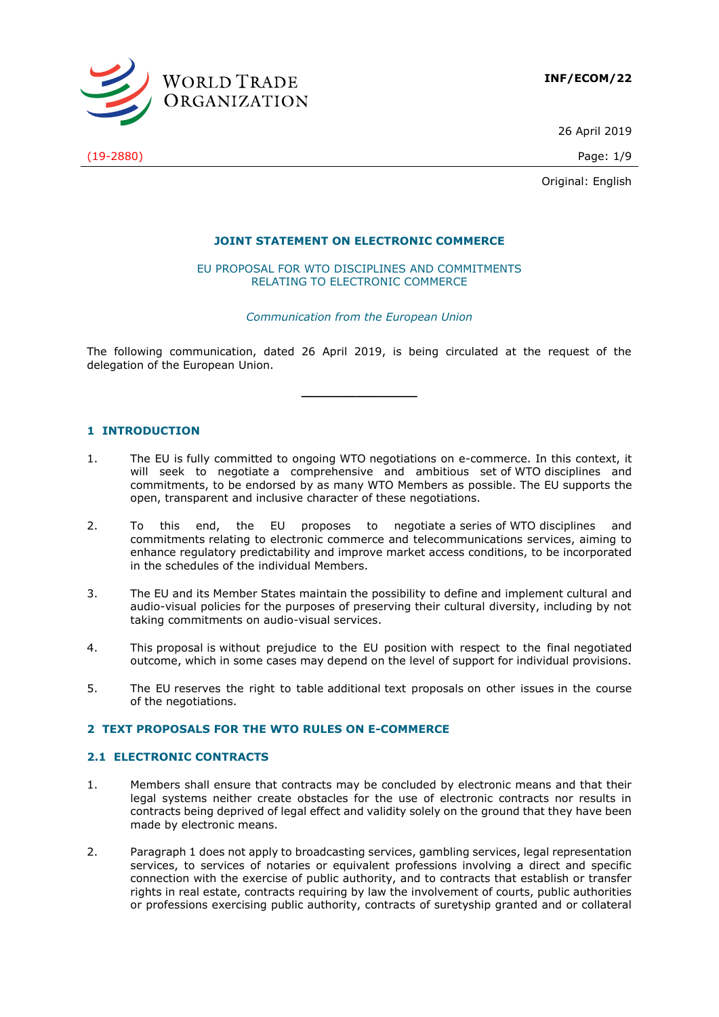

26 April 2019

Original: English

## **JOINT STATEMENT ON ELECTRONIC COMMERCE**

EU PROPOSAL FOR WTO DISCIPLINES AND COMMITMENTS RELATING TO ELECTRONIC COMMERCE

## *Communication from the European Union*

The following communication, dated 26 April 2019, is being circulated at the request of the delegation of the European Union.

**\_\_\_\_\_\_\_\_\_\_\_\_\_\_\_**

# **1 INTRODUCTION**

- 1. The EU is fully committed to ongoing WTO negotiations on e-commerce. In this context, it will seek to negotiate a comprehensive and ambitious set of WTO disciplines and commitments, to be endorsed by as many WTO Members as possible. The EU supports the open, transparent and inclusive character of these negotiations.
- 2. To this end, the EU proposes to negotiate a series of WTO disciplines commitments relating to electronic commerce and telecommunications services, aiming to enhance regulatory predictability and improve market access conditions, to be incorporated in the schedules of the individual Members.
- 3. The EU and its Member States maintain the possibility to define and implement cultural and audio-visual policies for the purposes of preserving their cultural diversity, including by not taking commitments on audio-visual services.
- 4. This proposal is without prejudice to the EU position with respect to the final negotiated outcome, which in some cases may depend on the level of support for individual provisions.
- 5. The EU reserves the right to table additional text proposals on other issues in the course of the negotiations.

### **2 TEXT PROPOSALS FOR THE WTO RULES ON E-COMMERCE**

### **2.1 ELECTRONIC CONTRACTS**

- 1. Members shall ensure that contracts may be concluded by electronic means and that their legal systems neither create obstacles for the use of electronic contracts nor results in contracts being deprived of legal effect and validity solely on the ground that they have been made by electronic means.
- 2. Paragraph 1 does not apply to broadcasting services, gambling services, legal representation services, to services of notaries or equivalent professions involving a direct and specific connection with the exercise of public authority, and to contracts that establish or transfer rights in real estate, contracts requiring by law the involvement of courts, public authorities or professions exercising public authority, contracts of suretyship granted and or collateral

(19-2880) Page: 1/9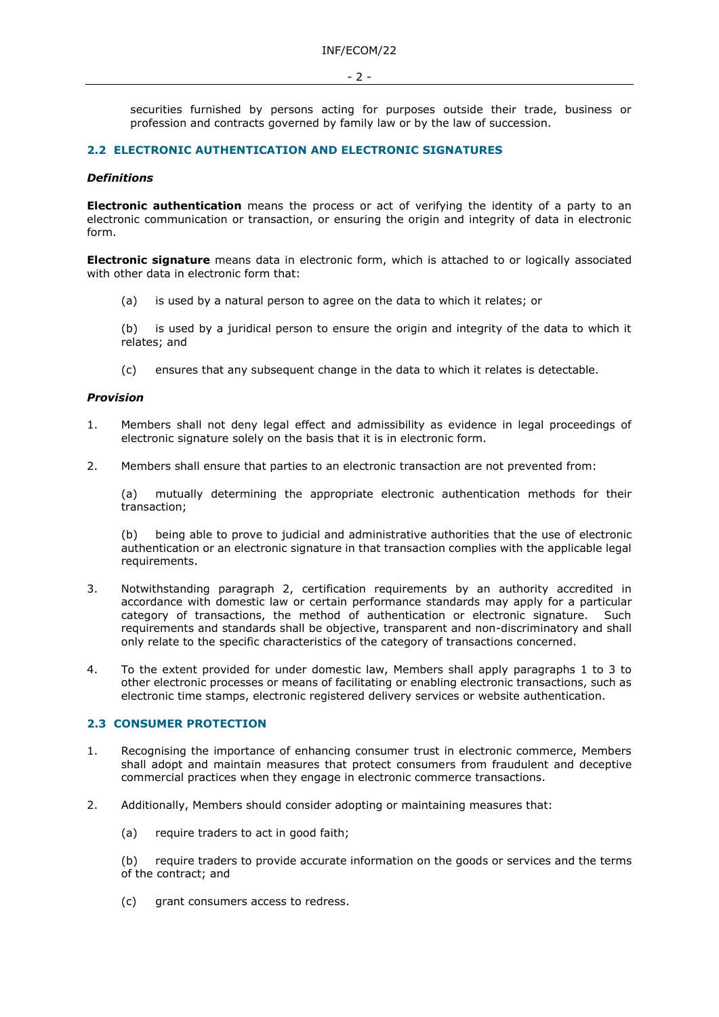securities furnished by persons acting for purposes outside their trade, business or profession and contracts governed by family law or by the law of succession.

## **2.2 ELECTRONIC AUTHENTICATION AND ELECTRONIC SIGNATURES**

## *Definitions*

**Electronic authentication** means the process or act of verifying the identity of a party to an electronic communication or transaction, or ensuring the origin and integrity of data in electronic form.

**Electronic signature** means data in electronic form, which is attached to or logically associated with other data in electronic form that:

(a) is used by a natural person to agree on the data to which it relates; or

(b) is used by a juridical person to ensure the origin and integrity of the data to which it relates; and

(c) ensures that any subsequent change in the data to which it relates is detectable.

#### *Provision*

- 1. Members shall not deny legal effect and admissibility as evidence in legal proceedings of electronic signature solely on the basis that it is in electronic form.
- 2. Members shall ensure that parties to an electronic transaction are not prevented from:

(a) mutually determining the appropriate electronic authentication methods for their transaction;

(b) being able to prove to judicial and administrative authorities that the use of electronic authentication or an electronic signature in that transaction complies with the applicable legal requirements.

- 3. Notwithstanding paragraph 2, certification requirements by an authority accredited in accordance with domestic law or certain performance standards may apply for a particular category of transactions, the method of authentication or electronic signature. Such requirements and standards shall be objective, transparent and non-discriminatory and shall only relate to the specific characteristics of the category of transactions concerned.
- 4. To the extent provided for under domestic law, Members shall apply paragraphs 1 to 3 to other electronic processes or means of facilitating or enabling electronic transactions, such as electronic time stamps, electronic registered delivery services or website authentication.

### **2.3 CONSUMER PROTECTION**

- 1. Recognising the importance of enhancing consumer trust in electronic commerce, Members shall adopt and maintain measures that protect consumers from fraudulent and deceptive commercial practices when they engage in electronic commerce transactions.
- 2. Additionally, Members should consider adopting or maintaining measures that:
	- (a) require traders to act in good faith;

(b) require traders to provide accurate information on the goods or services and the terms of the contract; and

(c) grant consumers access to redress.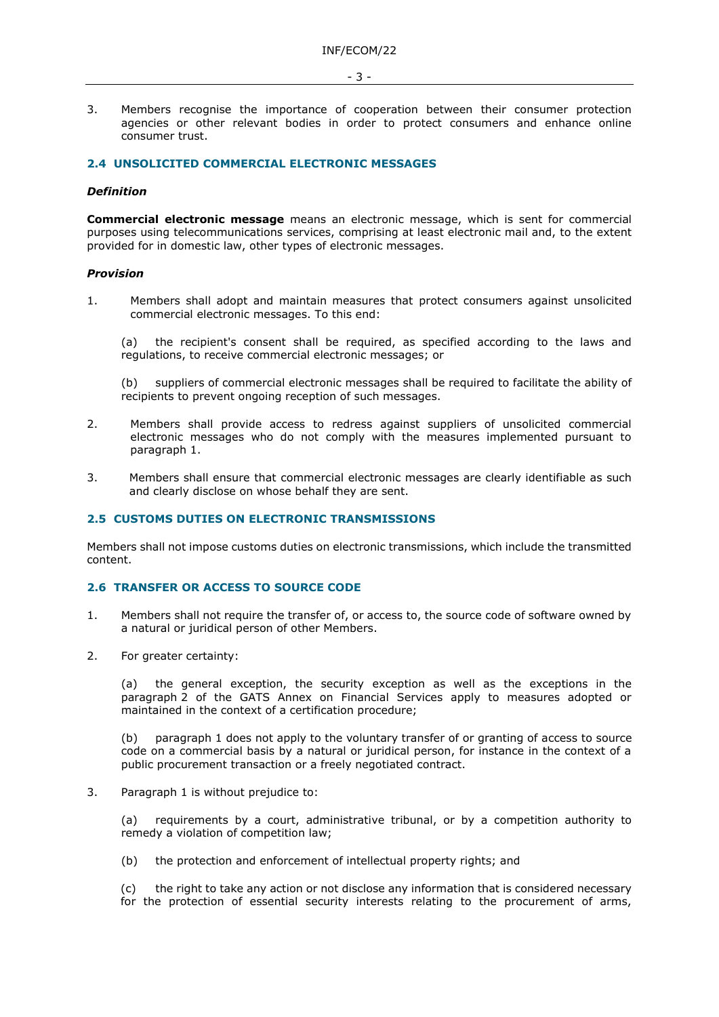- 3 -

3. Members recognise the importance of cooperation between their consumer protection agencies or other relevant bodies in order to protect consumers and enhance online consumer trust.

## **2.4 UNSOLICITED COMMERCIAL ELECTRONIC MESSAGES**

### *Definition*

**Commercial electronic message** means an electronic message, which is sent for commercial purposes using telecommunications services, comprising at least electronic mail and, to the extent provided for in domestic law, other types of electronic messages.

### *Provision*

1. Members shall adopt and maintain measures that protect consumers against unsolicited commercial electronic messages. To this end:

(a) the recipient's consent shall be required, as specified according to the laws and regulations, to receive commercial electronic messages; or

(b) suppliers of commercial electronic messages shall be required to facilitate the ability of recipients to prevent ongoing reception of such messages.

- 2. Members shall provide access to redress against suppliers of unsolicited commercial electronic messages who do not comply with the measures implemented pursuant to paragraph 1.
- 3. Members shall ensure that commercial electronic messages are clearly identifiable as such and clearly disclose on whose behalf they are sent.

### **2.5 CUSTOMS DUTIES ON ELECTRONIC TRANSMISSIONS**

Members shall not impose customs duties on electronic transmissions, which include the transmitted content.

# **2.6 TRANSFER OR ACCESS TO SOURCE CODE**

- 1. Members shall not require the transfer of, or access to, the source code of software owned by a natural or juridical person of other Members.
- 2. For greater certainty:

(a) the general exception, the security exception as well as the exceptions in the paragraph 2 of the GATS Annex on Financial Services apply to measures adopted or maintained in the context of a certification procedure;

(b) paragraph 1 does not apply to the voluntary transfer of or granting of access to source code on a commercial basis by a natural or juridical person, for instance in the context of a public procurement transaction or a freely negotiated contract.

3. Paragraph 1 is without prejudice to:

(a) requirements by a court, administrative tribunal, or by a competition authority to remedy a violation of competition law;

(b) the protection and enforcement of intellectual property rights; and

(c) the right to take any action or not disclose any information that is considered necessary for the protection of essential security interests relating to the procurement of arms,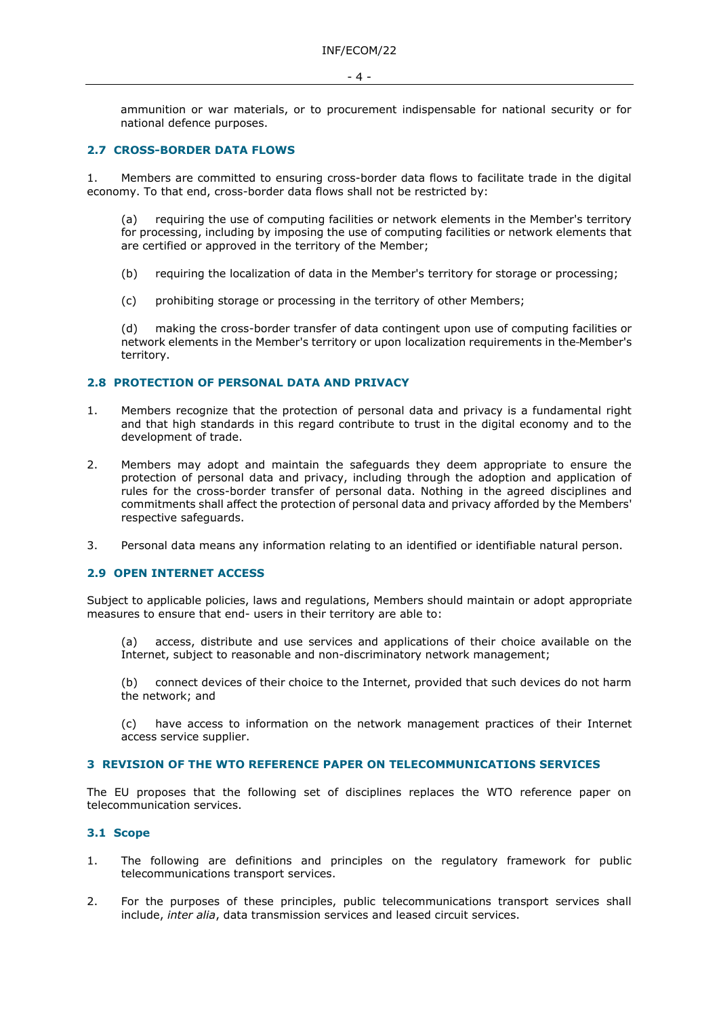ammunition or war materials, or to procurement indispensable for national security or for national defence purposes.

## **2.7 CROSS-BORDER DATA FLOWS**

1. Members are committed to ensuring cross-border data flows to facilitate trade in the digital economy. To that end, cross-border data flows shall not be restricted by:

(a) requiring the use of computing facilities or network elements in the Member's territory for processing, including by imposing the use of computing facilities or network elements that are certified or approved in the territory of the Member;

- (b) requiring the localization of data in the Member's territory for storage or processing;
- (c) prohibiting storage or processing in the territory of other Members;

(d) making the cross-border transfer of data contingent upon use of computing facilities or network elements in the Member's territory or upon localization requirements in the Member's territory.

## **2.8 PROTECTION OF PERSONAL DATA AND PRIVACY**

- 1. Members recognize that the protection of personal data and privacy is a fundamental right and that high standards in this regard contribute to trust in the digital economy and to the development of trade.
- 2. Members may adopt and maintain the safeguards they deem appropriate to ensure the protection of personal data and privacy, including through the adoption and application of rules for the cross-border transfer of personal data. Nothing in the agreed disciplines and commitments shall affect the protection of personal data and privacy afforded by the Members' respective safeguards.
- 3. Personal data means any information relating to an identified or identifiable natural person.

# **2.9 OPEN INTERNET ACCESS**

Subject to applicable policies, laws and regulations, Members should maintain or adopt appropriate measures to ensure that end- users in their territory are able to:

(a) access, distribute and use services and applications of their choice available on the Internet, subject to reasonable and non-discriminatory network management;

(b) connect devices of their choice to the Internet, provided that such devices do not harm the network; and

(c) have access to information on the network management practices of their Internet access service supplier.

## **3 REVISION OF THE WTO REFERENCE PAPER ON TELECOMMUNICATIONS SERVICES**

The EU proposes that the following set of disciplines replaces the WTO reference paper on telecommunication services.

# **3.1 Scope**

- 1. The following are definitions and principles on the regulatory framework for public telecommunications transport services.
- 2. For the purposes of these principles, public telecommunications transport services shall include, *inter alia*, data transmission services and leased circuit services.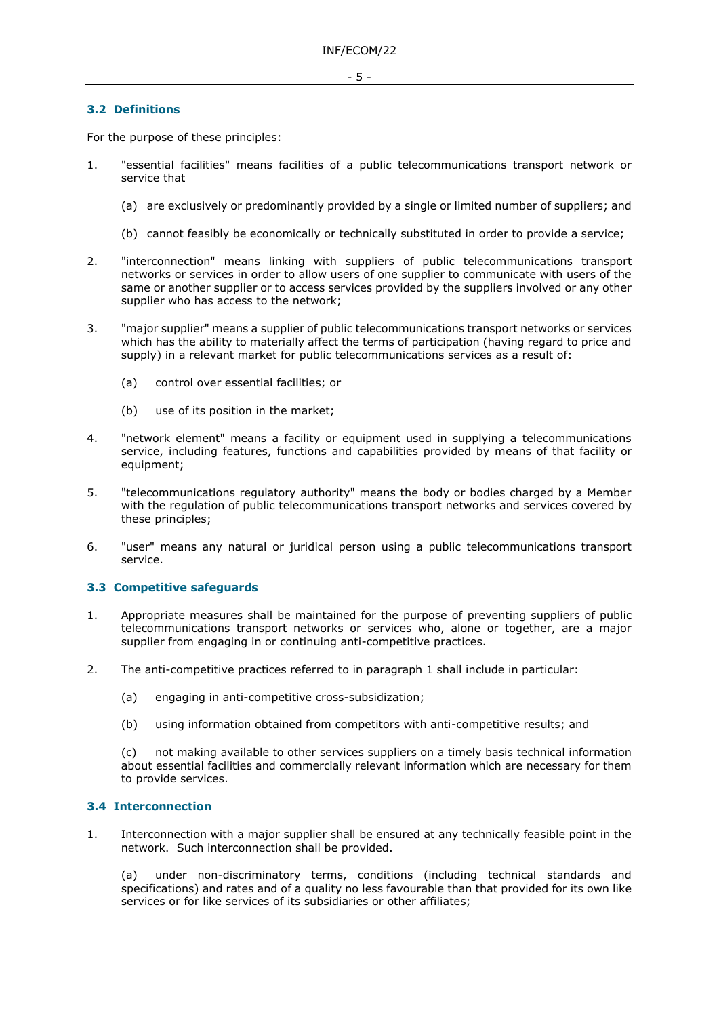# **3.2 Definitions**

For the purpose of these principles:

- 1. "essential facilities" means facilities of a public telecommunications transport network or service that
	- (a) are exclusively or predominantly provided by a single or limited number of suppliers; and
	- (b) cannot feasibly be economically or technically substituted in order to provide a service;
- 2. "interconnection" means linking with suppliers of public telecommunications transport networks or services in order to allow users of one supplier to communicate with users of the same or another supplier or to access services provided by the suppliers involved or any other supplier who has access to the network;
- 3. "major supplier" means a supplier of public telecommunications transport networks or services which has the ability to materially affect the terms of participation (having regard to price and supply) in a relevant market for public telecommunications services as a result of:
	- (a) control over essential facilities; or
	- (b) use of its position in the market;
- 4. "network element" means a facility or equipment used in supplying a telecommunications service, including features, functions and capabilities provided by means of that facility or equipment;
- 5. "telecommunications regulatory authority" means the body or bodies charged by a Member with the regulation of public telecommunications transport networks and services covered by these principles;
- 6. "user" means any natural or juridical person using a public telecommunications transport service.

# **3.3 Competitive safeguards**

- 1. Appropriate measures shall be maintained for the purpose of preventing suppliers of public telecommunications transport networks or services who, alone or together, are a major supplier from engaging in or continuing anti-competitive practices.
- 2. The anti-competitive practices referred to in paragraph 1 shall include in particular:
	- (a) engaging in anti-competitive cross-subsidization;
	- (b) using information obtained from competitors with anti-competitive results; and

(c) not making available to other services suppliers on a timely basis technical information about essential facilities and commercially relevant information which are necessary for them to provide services.

### **3.4 Interconnection**

1. Interconnection with a major supplier shall be ensured at any technically feasible point in the network. Such interconnection shall be provided.

(a) under non-discriminatory terms, conditions (including technical standards and specifications) and rates and of a quality no less favourable than that provided for its own like services or for like services of its subsidiaries or other affiliates;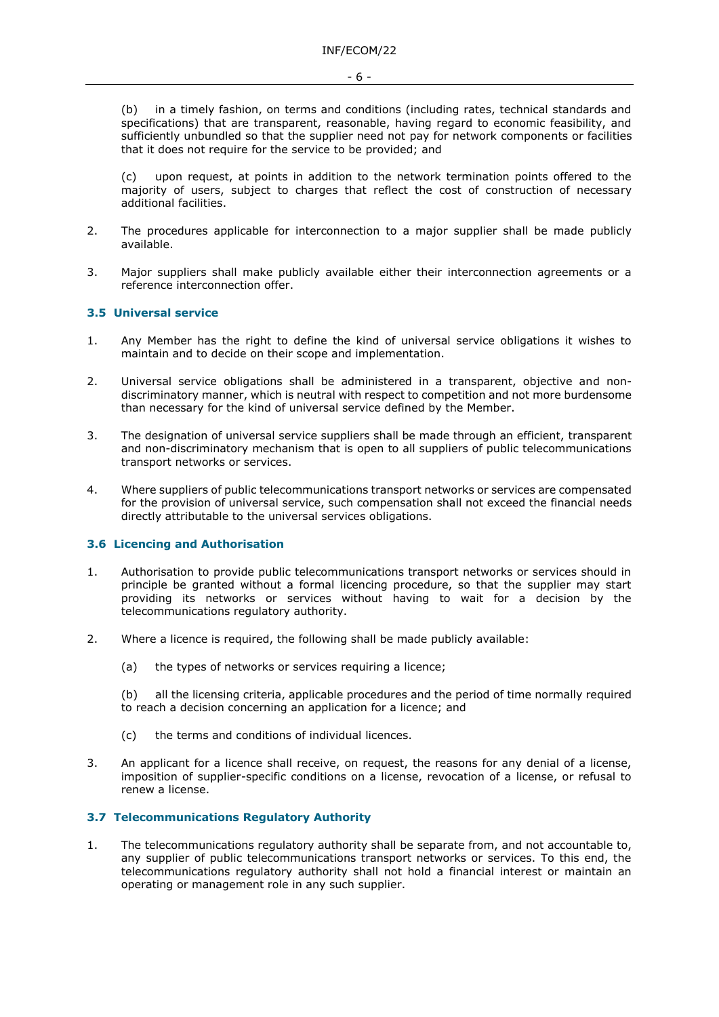(b) in a timely fashion, on terms and conditions (including rates, technical standards and specifications) that are transparent, reasonable, having regard to economic feasibility, and sufficiently unbundled so that the supplier need not pay for network components or facilities that it does not require for the service to be provided; and

(c) upon request, at points in addition to the network termination points offered to the majority of users, subject to charges that reflect the cost of construction of necessary additional facilities.

- 2. The procedures applicable for interconnection to a major supplier shall be made publicly available.
- 3. Major suppliers shall make publicly available either their interconnection agreements or a reference interconnection offer.

# **3.5 Universal service**

- 1. Any Member has the right to define the kind of universal service obligations it wishes to maintain and to decide on their scope and implementation.
- 2. Universal service obligations shall be administered in a transparent, objective and nondiscriminatory manner, which is neutral with respect to competition and not more burdensome than necessary for the kind of universal service defined by the Member.
- 3. The designation of universal service suppliers shall be made through an efficient, transparent and non-discriminatory mechanism that is open to all suppliers of public telecommunications transport networks or services.
- 4. Where suppliers of public telecommunications transport networks or services are compensated for the provision of universal service, such compensation shall not exceed the financial needs directly attributable to the universal services obligations.

# **3.6 Licencing and Authorisation**

- 1. Authorisation to provide public telecommunications transport networks or services should in principle be granted without a formal licencing procedure, so that the supplier may start providing its networks or services without having to wait for a decision by the telecommunications regulatory authority.
- 2. Where a licence is required, the following shall be made publicly available:
	- (a) the types of networks or services requiring a licence;

(b) all the licensing criteria, applicable procedures and the period of time normally required to reach a decision concerning an application for a licence; and

- (c) the terms and conditions of individual licences.
- 3. An applicant for a licence shall receive, on request, the reasons for any denial of a license, imposition of supplier-specific conditions on a license, revocation of a license, or refusal to renew a license.

## **3.7 Telecommunications Regulatory Authority**

1. The telecommunications regulatory authority shall be separate from, and not accountable to, any supplier of public telecommunications transport networks or services. To this end, the telecommunications regulatory authority shall not hold a financial interest or maintain an operating or management role in any such supplier.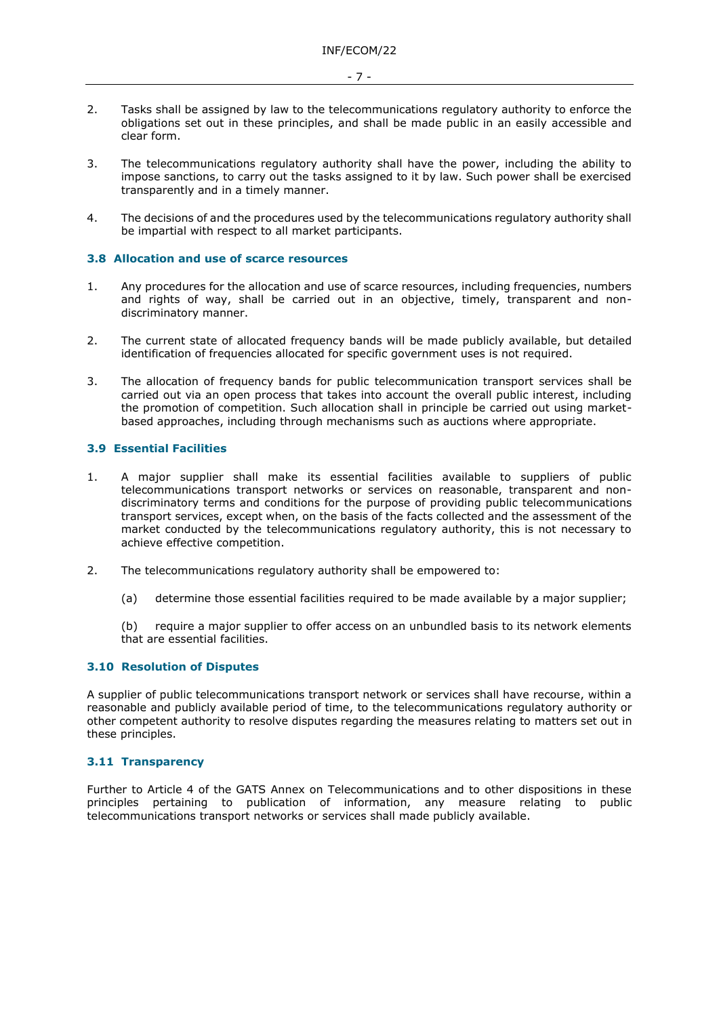- 7 -
- 2. Tasks shall be assigned by law to the telecommunications regulatory authority to enforce the obligations set out in these principles, and shall be made public in an easily accessible and clear form.
- 3. The telecommunications regulatory authority shall have the power, including the ability to impose sanctions, to carry out the tasks assigned to it by law. Such power shall be exercised transparently and in a timely manner.
- 4. The decisions of and the procedures used by the telecommunications regulatory authority shall be impartial with respect to all market participants.

## **3.8 Allocation and use of scarce resources**

- 1. Any procedures for the allocation and use of scarce resources, including frequencies, numbers and rights of way, shall be carried out in an objective, timely, transparent and nondiscriminatory manner.
- 2. The current state of allocated frequency bands will be made publicly available, but detailed identification of frequencies allocated for specific government uses is not required.
- 3. The allocation of frequency bands for public telecommunication transport services shall be carried out via an open process that takes into account the overall public interest, including the promotion of competition. Such allocation shall in principle be carried out using marketbased approaches, including through mechanisms such as auctions where appropriate.

# **3.9 Essential Facilities**

- 1. A major supplier shall make its essential facilities available to suppliers of public telecommunications transport networks or services on reasonable, transparent and nondiscriminatory terms and conditions for the purpose of providing public telecommunications transport services, except when, on the basis of the facts collected and the assessment of the market conducted by the telecommunications regulatory authority, this is not necessary to achieve effective competition.
- 2. The telecommunications regulatory authority shall be empowered to:
	- (a) determine those essential facilities required to be made available by a major supplier;

(b) require a major supplier to offer access on an unbundled basis to its network elements that are essential facilities.

# **3.10 Resolution of Disputes**

A supplier of public telecommunications transport network or services shall have recourse, within a reasonable and publicly available period of time, to the telecommunications regulatory authority or other competent authority to resolve disputes regarding the measures relating to matters set out in these principles.

# **3.11 Transparency**

Further to Article 4 of the GATS Annex on Telecommunications and to other dispositions in these principles pertaining to publication of information, any measure relating to public telecommunications transport networks or services shall made publicly available.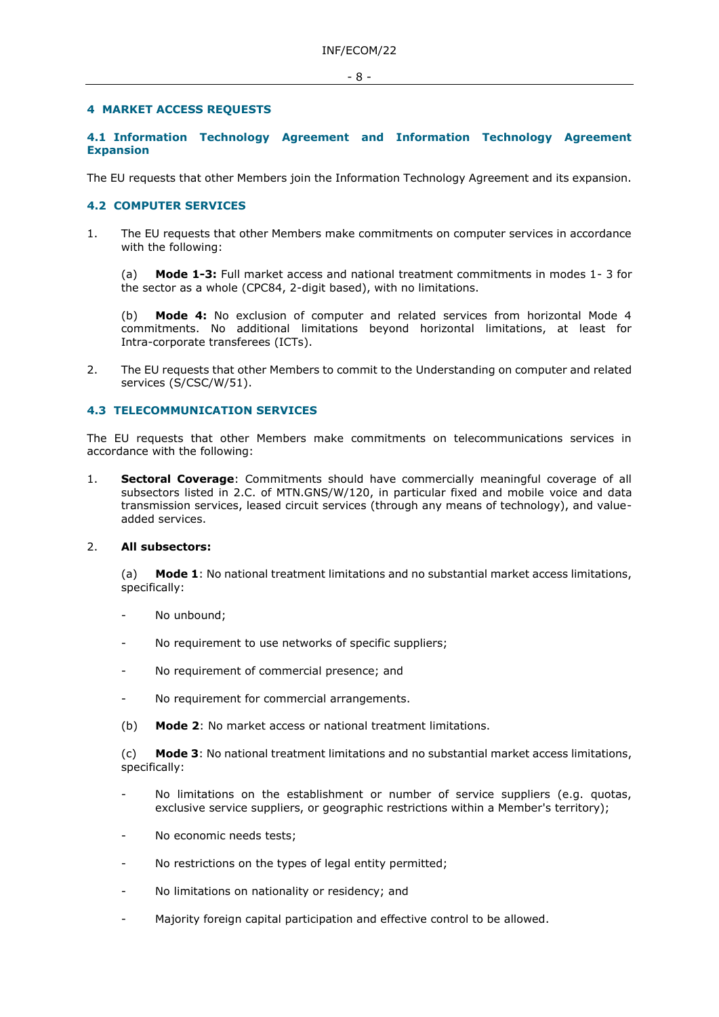## **4 MARKET ACCESS REQUESTS**

# **4.1 Information Technology Agreement and Information Technology Agreement Expansion**

The EU requests that other Members join the Information Technology Agreement and its expansion.

# **4.2 COMPUTER SERVICES**

1. The EU requests that other Members make commitments on computer services in accordance with the following:

(a) **Mode 1-3:** Full market access and national treatment commitments in modes 1- 3 for the sector as a whole (CPC84, 2-digit based), with no limitations.

(b) **Mode 4:** No exclusion of computer and related services from horizontal Mode 4 commitments. No additional limitations beyond horizontal limitations, at least for Intra-corporate transferees (ICTs).

2. The EU requests that other Members to commit to the Understanding on computer and related services (S/CSC/W/51).

## **4.3 TELECOMMUNICATION SERVICES**

The EU requests that other Members make commitments on telecommunications services in accordance with the following:

1. **Sectoral Coverage**: Commitments should have commercially meaningful coverage of all subsectors listed in 2.C. of MTN.GNS/W/120, in particular fixed and mobile voice and data transmission services, leased circuit services (through any means of technology), and valueadded services.

### 2. **All subsectors:**

(a) **Mode 1**: No national treatment limitations and no substantial market access limitations, specifically:

- No unbound;
- No requirement to use networks of specific suppliers;
- No requirement of commercial presence; and
- No requirement for commercial arrangements.
- (b) **Mode 2**: No market access or national treatment limitations.

(c) **Mode 3**: No national treatment limitations and no substantial market access limitations, specifically:

- No limitations on the establishment or number of service suppliers (e.g. quotas, exclusive service suppliers, or geographic restrictions within a Member's territory);
- No economic needs tests;
- No restrictions on the types of legal entity permitted;
- No limitations on nationality or residency; and
- Majority foreign capital participation and effective control to be allowed.